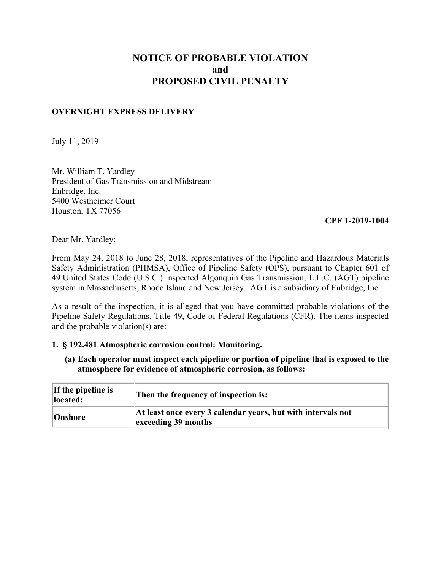# **NOTICE OF PROBABLE VIOLATION and PROPOSED CIVIL PENALTY**

## **OVERNIGHT EXPRESS DELIVERY**

July 11, 2019

Mr. William T. Yardley President of Gas Transmission and Midstream Enbridge, Inc. 5400 Westheimer Court Houston, TX 77056

#### **CPF 1-2019-1004**

Dear Mr. Yardley:

From May 24, 2018 to June 28, 2018, representatives of the Pipeline and Hazardous Materials Safety Administration (PHMSA), Office of Pipeline Safety (OPS), pursuant to Chapter 601 of 49 United States Code (U.S.C.) inspected Algonquin Gas Transmission, L.L.C. (AGT) pipeline system in Massachusetts, Rhode Island and New Jersey. AGT is a subsidiary of Enbridge, Inc.

As a result of the inspection, it is alleged that you have committed probable violations of the Pipeline Safety Regulations, Title 49, Code of Federal Regulations (CFR). The items inspected and the probable violation(s) are:

## **1. § 192.481 Atmospheric corrosion control: Monitoring.**

**(a) Each operator must inspect each pipeline or portion of pipeline that is exposed to the atmosphere for evidence of atmospheric corrosion, as follows:**

| If the pipeline is<br>located: | Then the frequency of inspection is:                                                |
|--------------------------------|-------------------------------------------------------------------------------------|
| Onshore                        | At least once every 3 calendar years, but with intervals not<br>exceeding 39 months |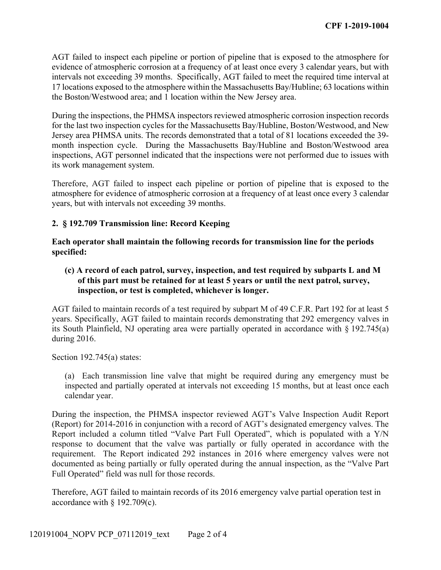AGT failed to inspect each pipeline or portion of pipeline that is exposed to the atmosphere for evidence of atmospheric corrosion at a frequency of at least once every 3 calendar years, but with intervals not exceeding 39 months. Specifically, AGT failed to meet the required time interval at 17 locations exposed to the atmosphere within the Massachusetts Bay/Hubline; 63 locations within the Boston/Westwood area; and 1 location within the New Jersey area.

During the inspections, the PHMSA inspectors reviewed atmospheric corrosion inspection records for the last two inspection cycles for the Massachusetts Bay/Hubline, Boston/Westwood, and New Jersey area PHMSA units. The records demonstrated that a total of 81 locations exceeded the 39 month inspection cycle. During the Massachusetts Bay/Hubline and Boston/Westwood area inspections, AGT personnel indicated that the inspections were not performed due to issues with its work management system.

Therefore, AGT failed to inspect each pipeline or portion of pipeline that is exposed to the atmosphere for evidence of atmospheric corrosion at a frequency of at least once every 3 calendar years, but with intervals not exceeding 39 months.

## **2. § 192.709 Transmission line: Record Keeping**

**Each operator shall maintain the following records for transmission line for the periods specified:** 

**(c) A record of each patrol, survey, inspection, and test required by subparts L and M of this part must be retained for at least 5 years or until the next patrol, survey, inspection, or test is completed, whichever is longer.**

AGT failed to maintain records of a test required by subpart M of 49 C.F.R. Part 192 for at least 5 years. Specifically, AGT failed to maintain records demonstrating that 292 emergency valves in its South Plainfield, NJ operating area were partially operated in accordance with § 192.745(a) during 2016.

Section 192.745(a) states:

(a) Each transmission line valve that might be required during any emergency must be inspected and partially operated at intervals not exceeding 15 months, but at least once each calendar year.

During the inspection, the PHMSA inspector reviewed AGT's Valve Inspection Audit Report (Report) for 2014-2016 in conjunction with a record of AGT's designated emergency valves. The Report included a column titled "Valve Part Full Operated", which is populated with a Y/N response to document that the valve was partially or fully operated in accordance with the requirement. The Report indicated 292 instances in 2016 where emergency valves were not documented as being partially or fully operated during the annual inspection, as the "Valve Part Full Operated" field was null for those records.

Therefore, AGT failed to maintain records of its 2016 emergency valve partial operation test in accordance with § 192.709(c).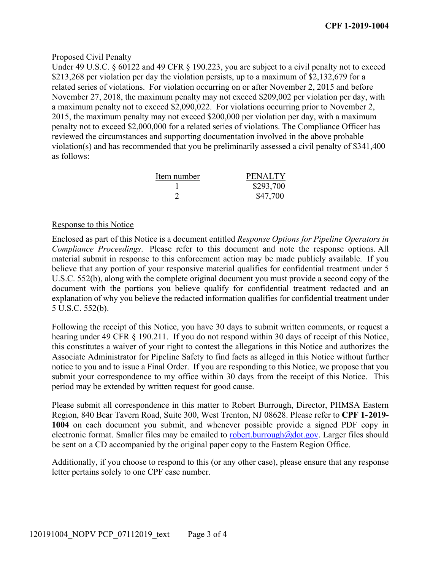## Proposed Civil Penalty

Under 49 U.S.C. § 60122 and 49 CFR § 190.223, you are subject to a civil penalty not to exceed \$213,268 per violation per day the violation persists, up to a maximum of \$2,132,679 for a related series of violations. For violation occurring on or after November 2, 2015 and before November 27, 2018, the maximum penalty may not exceed \$209,002 per violation per day, with a maximum penalty not to exceed \$2,090,022. For violations occurring prior to November 2, 2015, the maximum penalty may not exceed \$200,000 per violation per day, with a maximum penalty not to exceed \$2,000,000 for a related series of violations. The Compliance Officer has reviewed the circumstances and supporting documentation involved in the above probable violation(s) and has recommended that you be preliminarily assessed a civil penalty of \$341,400 as follows:

| Item number | <b>PENALTY</b> |
|-------------|----------------|
|             | \$293,700      |
|             | \$47,700       |

#### Response to this Notice

Enclosed as part of this Notice is a document entitled *Response Options for Pipeline Operators in Compliance Proceedings*. Please refer to this document and note the response options. All material submit in response to this enforcement action may be made publicly available. If you believe that any portion of your responsive material qualifies for confidential treatment under 5 U.S.C. 552(b), along with the complete original document you must provide a second copy of the document with the portions you believe qualify for confidential treatment redacted and an explanation of why you believe the redacted information qualifies for confidential treatment under 5 U.S.C. 552(b).

 submit your correspondence to my office within 30 days from the receipt of this Notice. This Following the receipt of this Notice, you have 30 days to submit written comments, or request a hearing under 49 CFR § 190.211. If you do not respond within 30 days of receipt of this Notice, this constitutes a waiver of your right to contest the allegations in this Notice and authorizes the Associate Administrator for Pipeline Safety to find facts as alleged in this Notice without further notice to you and to issue a Final Order. If you are responding to this Notice, we propose that you period may be extended by written request for good cause.

Please submit all correspondence in this matter to Robert Burrough, Director, PHMSA Eastern Region, 840 Bear Tavern Road, Suite 300, West Trenton, NJ 08628. Please refer to **CPF 1-2019- 1004** on each document you submit, and whenever possible provide a signed PDF copy in electronic format. Smaller files may be emailed to [robert.burrough@dot.gov](mailto:robert.burrough@dot.gov). Larger files should be sent on a CD accompanied by the original paper copy to the Eastern Region Office.

Additionally, if you choose to respond to this (or any other case), please ensure that any response letter pertains solely to one CPF case number.